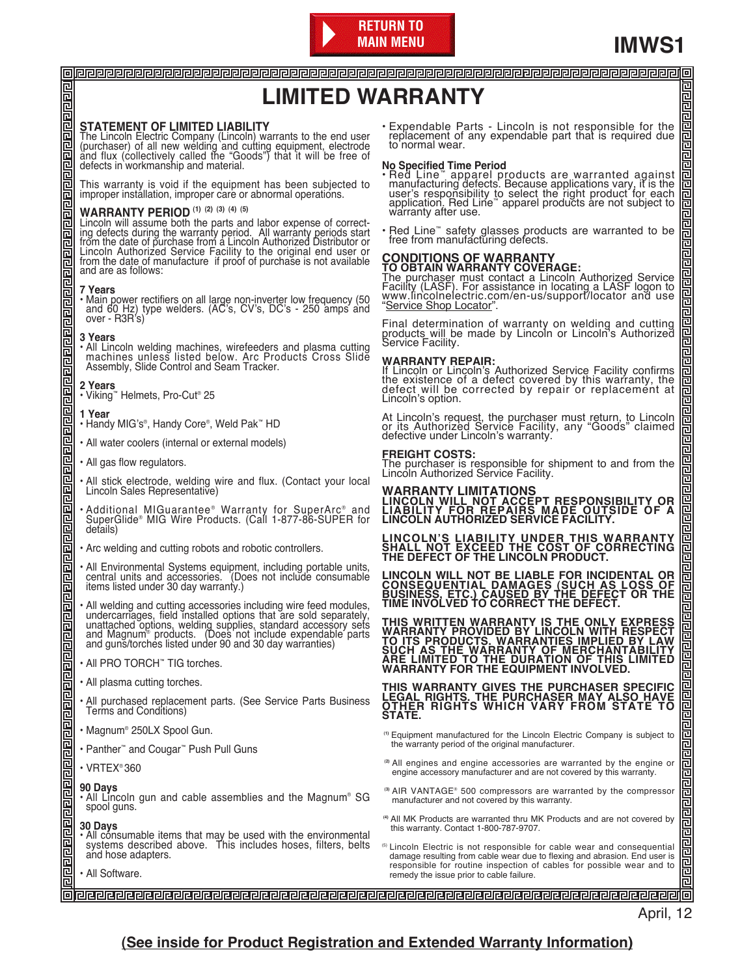

冒 囸

囸 回回

囸 回 冒邑

回回回

召回

回回

同己

回回

召回

已

囸 믄

밀<br>르 副 囸 쿀 回回

Eoch

**NANDIN** 

림

고 고

回 囙

已

回 囙

팀

包

已

## **LIMITED WARRANTY**

#### **STATEMENT OF LIMITED LIABILITY**

The Lincoln Electric Company (Lincoln) warrants to the end user<br>(purchaser) of all new welding and cutting equipment, electrode<br>and flux (collectively called the "Goods") that it will be free of<br>defects in workmanship and

This warranty is void if the equipment has been subjected to improper installation, improper care or abnormal operations.

#### **WARRANTY PERIOD (1) (2) (3) (4) (5)**

Lincoln will assume both the parts and labor expense of correct-<br>ing defects during the warranty period. All warranty periods start<br>from the date of purchase from a Lincoln Authorized Distributor or<br>Lincoln Authorized Serv from the date of manufacture if proof of purchase is not available and are as follows:

#### **7 Years**

回回回回

叵

<u>बागवान नगगगगगगगगगगगगगगग</u>

医医医医医

<u>리리리리리리리리</u>

n<br>E にに

> 囸 卫

> 叵

囸

ににに

回回 回回

i<br>E

同

il<br>L

同区

i<br>E

叵

i<br>E

• Main power rectifiers on all large non-inverter low frequency (50 and 60 Hz) type welders. (AC's, CV's, DC's - 250 amps and over - R3R's)

#### **3 Years**

• All Lincoln welding machines, wirefeeders and plasma cutting machines unless listed below. Arc Products Cross Slide Assembly, Slide Control and Seam Tracker.

#### **2 Years**

• Viking™ Helmets, Pro-Cut® 25

#### **1 Year**

- Handy MIG's®, Handy Core®, Weld Pak™ HD
- All water coolers (internal or external models)
- All gas flow regulators.
- All stick electrode, welding wire and flux. (Contact your local Lincoln Sales Representative)
- •Additional MIGuarantee® Warranty for SuperArc® and<br>SuperGlide® MIG Wire Products. (Call 1-877-86-SUPER for<br>details)
- Arc welding and cutting robots and robotic controllers.
- All Environmental Systems equipment, including portable units, central units and accessories. (Does not include consumable items listed under 30 day warranty.)
- All welding and cutting accessories including wire feed modules, undercarriages, field installed options that are sold separately, unattached options, welding supplies, standard accessory sets and Magnum® products. (Does
- All PRO TORCH™ TIG torches.
- All plasma cutting torches.
- All purchased replacement parts. (See Service Parts Business Terms and Conditions)
- Magnum® 250LX Spool Gun.
- Panther™ and Cougar™ Push Pull Guns
- VRTEX® 360

#### **90 Days**

- All Lincoln gun and cable assemblies and the Magnum® SG spool guns.
- **30 Days**
- All consumable items that may be used with the environmental systems described above. This includes hoses, filters, belts and hose adapters.
- All Software.

• Expendable Parts - Lincoln is not responsible for the replacement of any expendable part that is required due to normal wear.

## **No Specified Time Period**

- Red Line" apparel products are warranted against<br>manufacturing defects. Because applications vary, it is the<br>user's responsibility to select the right product for each<br>application. Red Line" apparel products are not subj
- Red Line™ safety glasses products are warranted to be free from manufacturing defects.

**CONDITIONS OF WARRANTY**<br>TO OBTAIN WARRANTY COVERAGE:<br>The purchaser must contact a Lincoln Authorized Service<br>Facility (LASF). For assistance in locating a LASF logon to<br>www.lincolnelectric.com/en-us/support/locator and us Service Shop Locator".

Final determination of warranty on welding and cutting products will be made by Lincoln or Lincoln's Authorized Service Facility.

#### **WARRANTY REPAIR:**

If Lincoln or Lincoln's Authorized Service Facility confirms the existence of a defect covered by this warranty, the defect will be corrected by repair or replacement at Lincoln's option.

At Lincoln's request, the purchaser must return, to Lincoln or its Authorized Service Facility, any "Goods" claimed defective under Lincoln's warranty.

#### **FREIGHT COSTS:**

The purchaser is responsible for shipment to and from the Lincoln Authorized Service Facility.

**WARRANTY LIMITATIONS LINCOLN WILL NOT ACCEPT RESPONSIBILITY OR LIABILITY FOR REPAIRS MADE OUTSIDE OF A LINCOLN AUTHORIZED SERVICE FACILITY.**

**LINCOLN'S LIABILITY UNDER THIS WARRANTY SHALL NOT EXCEED THE COST OF CORRECTING THE DEFECT OF THE LINCOLN PRODUCT.**

**LINCOLN WILL NOT BE LIABLE FOR INCIDENTAL OR CONSEQUENTIAL DAMAGES (SUCH AS LOSS OF BUSINESS, ETC.) CAUSED BY THE DEFECT OR THE TIME INVOLVED TO CORRECT THE DEFECT.**

THIS WRITTEN WARRANTY IS THE ONLY EXPRESS<br>WARRANTY PROVIDED BY LINCOLN WITH RESPECT<br>TO ITS PRODUCTS. WARRANTIES IMPLIED BY LAW<br>SUCH AS THE WARRANTY OF MERCHANTABILITY<br>ARE LIMITED TO THE DURATION OF THIS LIMITED **WARRANTY FOR THE EQUIPMENT INVOLVED.**

**THIS WARRANTY GIVES THE PURCHASER SPECIFIC LEGAL RIGHTS. THE PURCHASER MAY ALSO HAVE OTHER RIGHTS WHICH VARY FROM STATE TO STATE.**

- **(1)** Equipment manufactured for the Lincoln Electric Company is subject to the warranty period of the original manufacturer.
- **(2)** All engines and engine accessories are warranted by the engine or engine accessory manufacturer and are not covered by this warranty.
- **(3)** AIR VANTAGE® 500 compressors are warranted by the compressor manufacturer and not covered by this warranty.
- **(4)** All MK Products are warranted thru MK Products and are not covered by this warranty. Contact 1-800-787-9707.
- (5) Lincoln Electric is not responsible for cable wear and consequential damage resulting from cable wear due to flexing and abrasion. End user is responsible for routine inspection of cables for possible wear and to remedy the issue prior to cable failure.

April, 12

#### **(See inside for Product Registration and Extended Warranty Information)**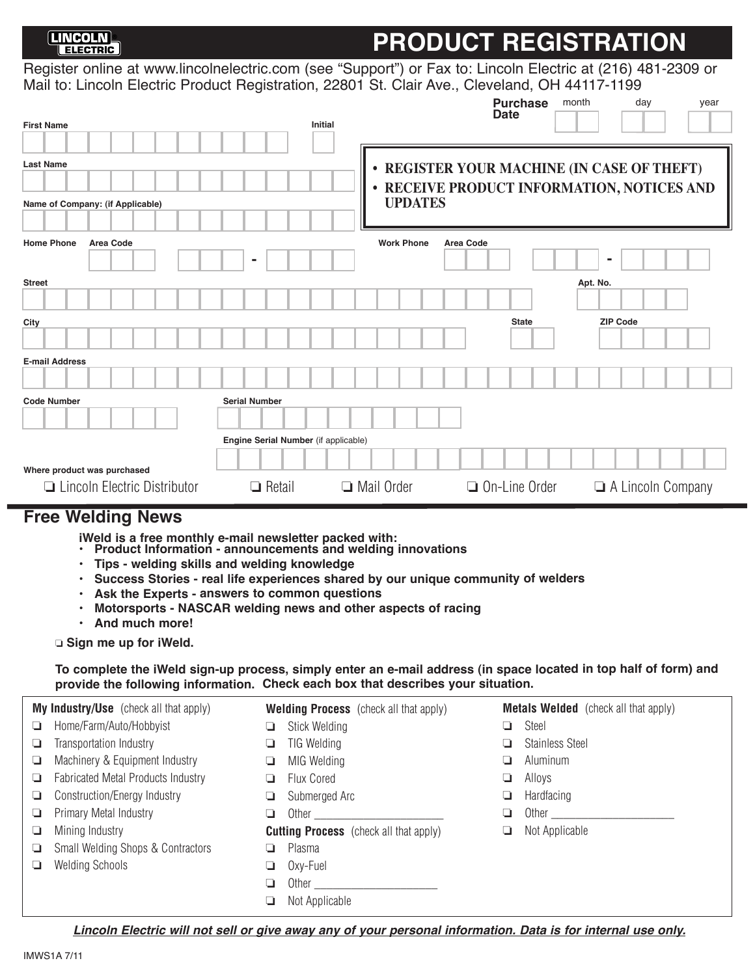## **PRODUCT REGISTRATION**

Register online at www.lincolnelectric.com (see "Support") or Fax to: Lincoln Electric at (216) 481-2309 or Mail to: Lincoln Electric Product Registration, 22801 St. Clair Ave., Cleveland, OH 44117-1199

|                                                      |                                      |                   | <b>Purchase</b><br><b>Date</b> | month<br>day<br>year                                                                     |
|------------------------------------------------------|--------------------------------------|-------------------|--------------------------------|------------------------------------------------------------------------------------------|
| <b>First Name</b>                                    | <b>Initial</b>                       |                   |                                |                                                                                          |
| <b>Last Name</b><br>Name of Company: (if Applicable) |                                      | <b>UPDATES</b>    |                                | • REGISTER YOUR MACHINE (IN CASE OF THEFT)<br>• RECEIVE PRODUCT INFORMATION, NOTICES AND |
| <b>Home Phone</b><br>Area Code                       | ۰                                    | <b>Work Phone</b> | Area Code                      | $\blacksquare$                                                                           |
| <b>Street</b>                                        |                                      |                   |                                | Apt. No.                                                                                 |
|                                                      |                                      |                   |                                |                                                                                          |
| City                                                 |                                      |                   | <b>State</b>                   | <b>ZIP Code</b>                                                                          |
| <b>E-mail Address</b>                                |                                      |                   |                                |                                                                                          |
|                                                      |                                      |                   |                                |                                                                                          |
| <b>Code Number</b>                                   | <b>Serial Number</b>                 |                   |                                |                                                                                          |
|                                                      |                                      |                   |                                |                                                                                          |
|                                                      | Engine Serial Number (if applicable) |                   |                                |                                                                                          |
| Where product was purchased                          |                                      |                   |                                |                                                                                          |
| □ Lincoln Electric Distributor                       | $\Box$ Retail<br>o.                  | Mail Order        | $\Box$ On-Line Order           | A Lincoln Company                                                                        |

### **Free Welding News**

**iWeld is a free monthly e-mail newsletter packed with:** 

- **• Product Information - announcements and welding innovations**
- **• Tips welding skills and welding knowledge**
- **• Success Stories real life experiences shared by our unique community of welders**
- **• Ask the Experts answers to common questions**
- **• Motorsports - NASCAR welding news and other aspects of racing**
- **• And much more!**

o **Sign me up for iWeld.**

**To complete the iWeld sign-up process, simply enter an e-mail address (in space located in top half of form) and provide the following information. Check each box that describes your situation.**

| <b>My Industry/Use</b> (check all that apply)       | <b>Welding Process</b> (check all that apply) | <b>Metals Welded</b> (check all that apply) |
|-----------------------------------------------------|-----------------------------------------------|---------------------------------------------|
| Home/Farm/Auto/Hobbyist<br>-⊒ -                     | Stick Welding<br>u                            | Steel                                       |
| Transportation Industry<br>u                        | <b>TIG Welding</b>                            | <b>Stainless Steel</b>                      |
| Machinery & Equipment Industry<br>u                 | MIG Welding<br>⊐                              | Aluminum                                    |
| <b>Fabricated Metal Products Industry</b><br>$\Box$ | Flux Cored                                    | Alloys                                      |
| Construction/Energy Industry<br>u                   | Submerged Arc<br>⊔                            | Hardfacing                                  |
| Primary Metal Industry<br>u                         | Other                                         | Other                                       |
| Mining Industry<br>u                                | <b>Cutting Process</b> (check all that apply) | Not Applicable                              |
| <b>Small Welding Shops &amp; Contractors</b><br>u   | Plasma                                        |                                             |
| <b>Welding Schools</b><br>u                         | Oxy-Fuel<br>u                                 |                                             |
|                                                     | Other                                         |                                             |
|                                                     | Not Applicable                                |                                             |

**Lincoln Electric will not sell or give away any of your personal information. Data is for internal use only.**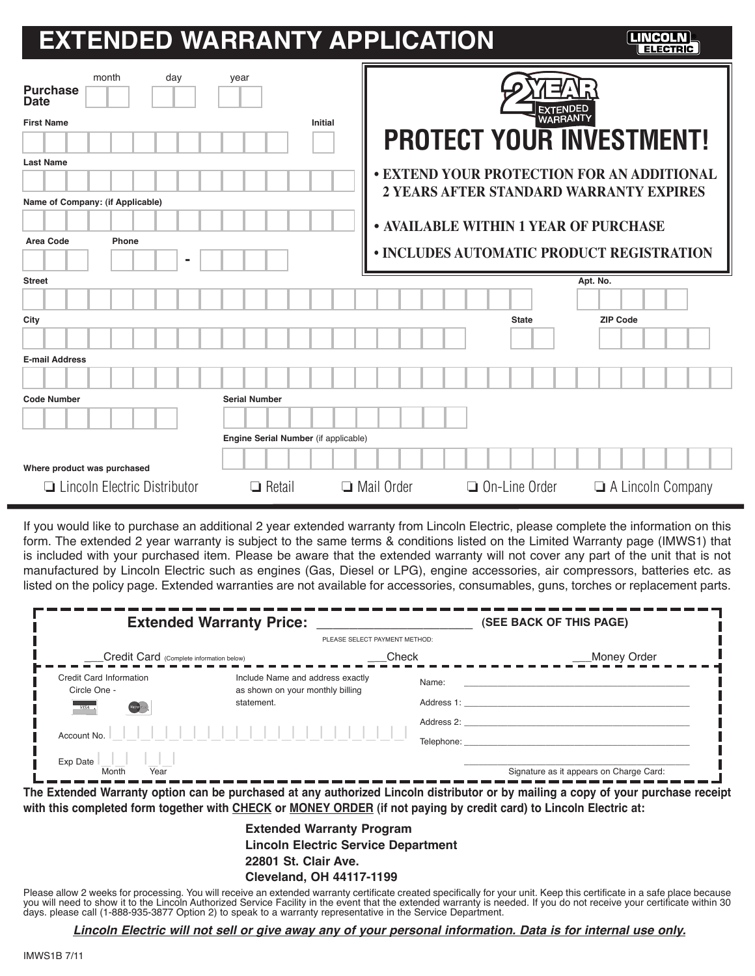# **EXTENDED WARRANTY APPLICATION ®**

| <b>Purchase</b><br><b>Date</b><br><b>First Name</b> | month                               | day | year                                 | <b>Initial</b> |            | <b>EXTENDEI</b><br><b>WARRANTY</b>    | <b>PROTECT YOUR INVESTMENT!</b>                                                       |
|-----------------------------------------------------|-------------------------------------|-----|--------------------------------------|----------------|------------|---------------------------------------|---------------------------------------------------------------------------------------|
| <b>Last Name</b>                                    |                                     |     |                                      |                |            |                                       | • EXTEND YOUR PROTECTION FOR AN ADDITIONAL<br>2 YEARS AFTER STANDARD WARRANTY EXPIRES |
|                                                     | Name of Company: (if Applicable)    |     |                                      |                |            |                                       |                                                                                       |
|                                                     |                                     |     |                                      |                |            | • AVAILABLE WITHIN 1 YEAR OF PURCHASE |                                                                                       |
| Area Code                                           | Phone                               |     |                                      |                |            |                                       |                                                                                       |
|                                                     |                                     |     |                                      |                |            |                                       | • INCLUDES AUTOMATIC PRODUCT REGISTRATION                                             |
| <b>Street</b>                                       |                                     |     |                                      |                |            |                                       | Apt. No.                                                                              |
|                                                     |                                     |     |                                      |                |            |                                       |                                                                                       |
| City                                                |                                     |     |                                      |                |            | <b>State</b>                          | <b>ZIP Code</b>                                                                       |
|                                                     |                                     |     |                                      |                |            |                                       |                                                                                       |
| <b>E-mail Address</b>                               |                                     |     |                                      |                |            |                                       |                                                                                       |
|                                                     |                                     |     |                                      |                |            |                                       |                                                                                       |
| <b>Code Number</b>                                  |                                     |     | <b>Serial Number</b>                 |                |            |                                       |                                                                                       |
|                                                     |                                     |     |                                      |                |            |                                       |                                                                                       |
|                                                     |                                     |     | Engine Serial Number (if applicable) |                |            |                                       |                                                                                       |
| Where product was purchased                         |                                     |     |                                      |                |            |                                       |                                                                                       |
|                                                     | $\Box$ Lincoln Electric Distributor |     | $\Box$ Retail                        |                | Mail Order | $\Box$ On-Line Order                  | $\Box$ A Lincoln Company                                                              |

If you would like to purchase an additional 2 year extended warranty from Lincoln Electric, please complete the information on this form. The extended 2 year warranty is subject to the same terms & conditions listed on the Limited Warranty page (IMWS1) that is included with your purchased item. Please be aware that the extended warranty will not cover any part of the unit that is not manufactured by Lincoln Electric such as engines (Gas, Diesel or LPG), engine accessories, air compressors, batteries etc. as listed on the policy page. Extended warranties are not available for accessories, consumables, guns, torches or replacement parts.

| <b>Extended Warranty Price:</b>                            |                                                                      |            | (SEE BACK OF THIS PAGE)                 |  |
|------------------------------------------------------------|----------------------------------------------------------------------|------------|-----------------------------------------|--|
|                                                            | PLEASE SELECT PAYMENT METHOD:                                        |            |                                         |  |
| Credit Card (Complete information below)                   |                                                                      | Check      | _Money Order                            |  |
| Credit Card Information<br>Circle One -                    | Include Name and address exactly<br>as shown on your monthly billing | Name:      |                                         |  |
| (december)<br><b>VISA</b>                                  | statement.                                                           | Address 1: |                                         |  |
| Account No.                                                |                                                                      | Address 2: |                                         |  |
|                                                            |                                                                      | Telephone: |                                         |  |
| Exp Date<br>$\frac{1}{\frac{1}{\frac{1}{\sqrt{1}}}}$ Month |                                                                      |            | Signature as it appears on Charge Card: |  |

**The Extended Warranty option can be purchased at any authorized Lincoln distributor or by mailing a copy of your purchase receipt with this completed form together with CHECK or MONEY ORDER (if not paying by credit card) to Lincoln Electric at:**

> **Extended Warranty Program Lincoln Electric Service Department 22801 St. Clair Ave.**

#### **Cleveland, OH 44117-1199**

Please allow 2 weeks for processing. You will receive an extended warranty certificate created specifically for your unit. Keep this certificate in a safe place because you will need to show it to the Lincoln Authorized Service Facility in the event that the extended warranty is needed. If you do not receive your certificate within 30 days. please call (1-888-935-3877 Option 2) to speak to a warranty representative in the Service Department.

**Lincoln Electric will not sell or give away any of your personal information. Data is for internal use only.**